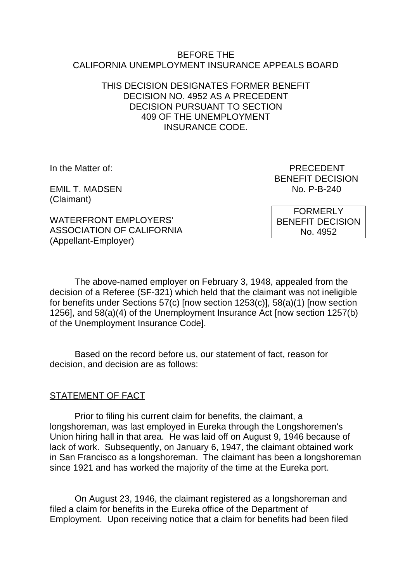#### BEFORE THE CALIFORNIA UNEMPLOYMENT INSURANCE APPEALS BOARD

### THIS DECISION DESIGNATES FORMER BENEFIT DECISION NO. 4952 AS A PRECEDENT DECISION PURSUANT TO SECTION 409 OF THE UNEMPLOYMENT INSURANCE CODE.

EMIL T. MADSEN NO. P-B-240 (Claimant)

In the Matter of: PRECEDENT BENEFIT DECISION

WATERFRONT EMPLOYERS' ASSOCIATION OF CALIFORNIA (Appellant-Employer)

FORMERLY BENEFIT DECISION No. 4952

The above-named employer on February 3, 1948, appealed from the decision of a Referee (SF-321) which held that the claimant was not ineligible for benefits under Sections 57(c) [now section 1253(c)], 58(a)(1) [now section 1256], and 58(a)(4) of the Unemployment Insurance Act [now section 1257(b) of the Unemployment Insurance Code].

Based on the record before us, our statement of fact, reason for decision, and decision are as follows:

# STATEMENT OF FACT

Prior to filing his current claim for benefits, the claimant, a longshoreman, was last employed in Eureka through the Longshoremen's Union hiring hall in that area. He was laid off on August 9, 1946 because of lack of work. Subsequently, on January 6, 1947, the claimant obtained work in San Francisco as a longshoreman. The claimant has been a longshoreman since 1921 and has worked the majority of the time at the Eureka port.

On August 23, 1946, the claimant registered as a longshoreman and filed a claim for benefits in the Eureka office of the Department of Employment. Upon receiving notice that a claim for benefits had been filed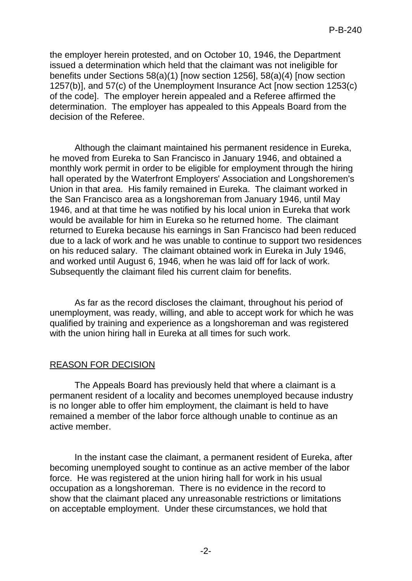the employer herein protested, and on October 10, 1946, the Department issued a determination which held that the claimant was not ineligible for benefits under Sections 58(a)(1) [now section 1256], 58(a)(4) [now section 1257(b)], and 57(c) of the Unemployment Insurance Act [now section 1253(c) of the code]. The employer herein appealed and a Referee affirmed the determination. The employer has appealed to this Appeals Board from the decision of the Referee.

Although the claimant maintained his permanent residence in Eureka, he moved from Eureka to San Francisco in January 1946, and obtained a monthly work permit in order to be eligible for employment through the hiring hall operated by the Waterfront Employers' Association and Longshoremen's Union in that area. His family remained in Eureka. The claimant worked in the San Francisco area as a longshoreman from January 1946, until May 1946, and at that time he was notified by his local union in Eureka that work would be available for him in Eureka so he returned home. The claimant returned to Eureka because his earnings in San Francisco had been reduced due to a lack of work and he was unable to continue to support two residences on his reduced salary. The claimant obtained work in Eureka in July 1946, and worked until August 6, 1946, when he was laid off for lack of work. Subsequently the claimant filed his current claim for benefits.

As far as the record discloses the claimant, throughout his period of unemployment, was ready, willing, and able to accept work for which he was qualified by training and experience as a longshoreman and was registered with the union hiring hall in Eureka at all times for such work.

#### REASON FOR DECISION

The Appeals Board has previously held that where a claimant is a permanent resident of a locality and becomes unemployed because industry is no longer able to offer him employment, the claimant is held to have remained a member of the labor force although unable to continue as an active member.

In the instant case the claimant, a permanent resident of Eureka, after becoming unemployed sought to continue as an active member of the labor force. He was registered at the union hiring hall for work in his usual occupation as a longshoreman. There is no evidence in the record to show that the claimant placed any unreasonable restrictions or limitations on acceptable employment. Under these circumstances, we hold that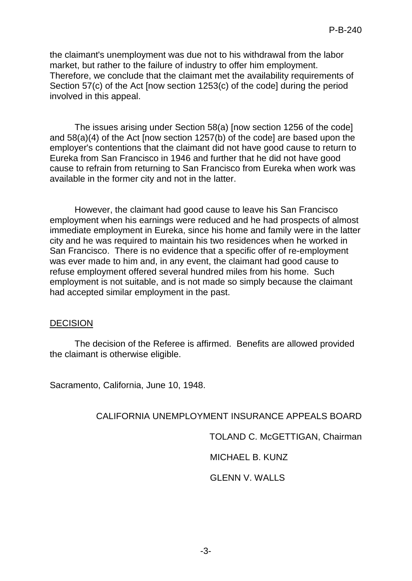the claimant's unemployment was due not to his withdrawal from the labor market, but rather to the failure of industry to offer him employment. Therefore, we conclude that the claimant met the availability requirements of Section 57(c) of the Act [now section 1253(c) of the code] during the period involved in this appeal.

The issues arising under Section 58(a) [now section 1256 of the code] and 58(a)(4) of the Act [now section 1257(b) of the code] are based upon the employer's contentions that the claimant did not have good cause to return to Eureka from San Francisco in 1946 and further that he did not have good cause to refrain from returning to San Francisco from Eureka when work was available in the former city and not in the latter.

However, the claimant had good cause to leave his San Francisco employment when his earnings were reduced and he had prospects of almost immediate employment in Eureka, since his home and family were in the latter city and he was required to maintain his two residences when he worked in San Francisco. There is no evidence that a specific offer of re-employment was ever made to him and, in any event, the claimant had good cause to refuse employment offered several hundred miles from his home. Such employment is not suitable, and is not made so simply because the claimant had accepted similar employment in the past.

#### **DECISION**

The decision of the Referee is affirmed. Benefits are allowed provided the claimant is otherwise eligible.

Sacramento, California, June 10, 1948.

# CALIFORNIA UNEMPLOYMENT INSURANCE APPEALS BOARD

TOLAND C. McGETTIGAN, Chairman

MICHAEL B. KUNZ

# GLENN V. WALLS